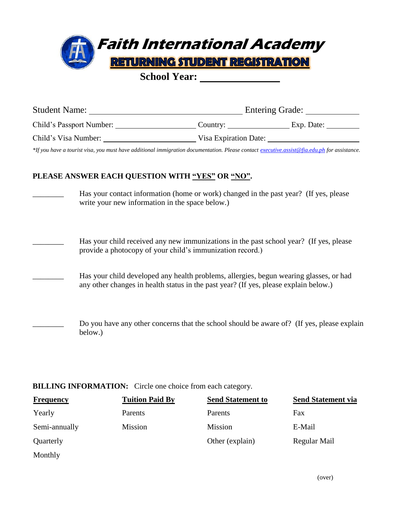

**School Year:** 

| <b>Student Name:</b><br><b>Entering Grade:</b> |                       |            |
|------------------------------------------------|-----------------------|------------|
| Child's Passport Number:                       | Country:              | Exp. Date: |
| Child's Visa Number:                           | Visa Expiration Date: |            |

*\*If you have a tourist visa, you must have additional immigration documentation. Please contact [executive.assist@fia.edu.ph](mailto:executive.assist@fia.edu.ph) for assistance.*

## **PLEASE ANSWER EACH QUESTION WITH "YES" OR "NO".**

- Has your contact information (home or work) changed in the past year? (If yes, please write your new information in the space below.)
	- Has your child received any new immunizations in the past school year? (If yes, please provide a photocopy of your child's immunization record.)
	- Has your child developed any health problems, allergies, begun wearing glasses, or had any other changes in health status in the past year? (If yes, please explain below.)
- Do you have any other concerns that the school should be aware of? (If yes, please explain below.)

## **BILLING INFORMATION:** Circle one choice from each category.

| <b>Frequency</b> | <b>Tuition Paid By</b> | <b>Send Statement to</b> | <b>Send Statement via</b> |
|------------------|------------------------|--------------------------|---------------------------|
| Yearly           | Parents                | Parents                  | Fax                       |
| Semi-annually    | <b>Mission</b>         | <b>Mission</b>           | E-Mail                    |
| Quarterly        |                        | Other (explain)          | Regular Mail              |
| Monthly          |                        |                          |                           |